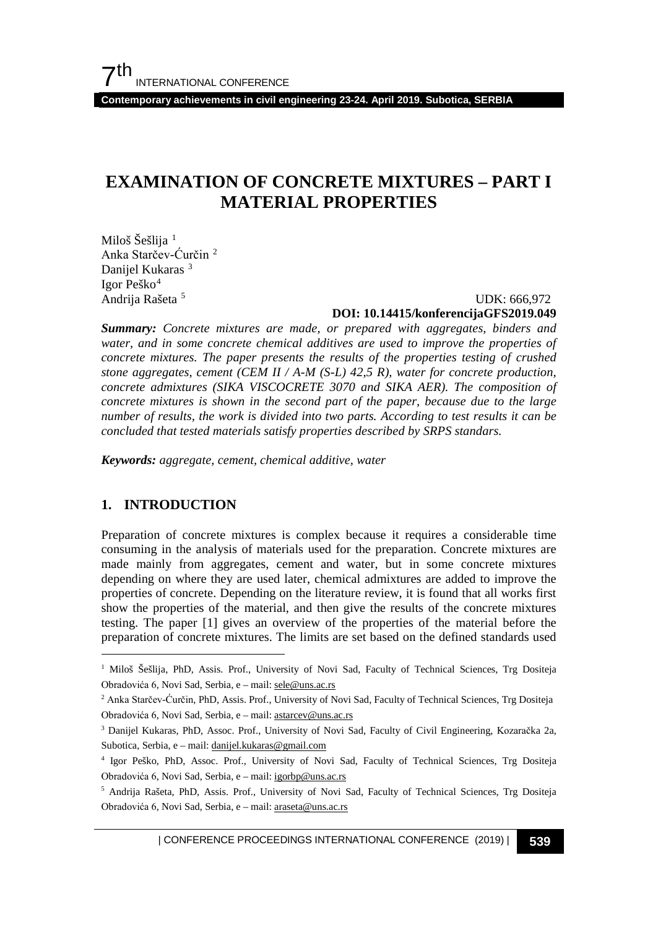**Contemporary achievements in civil engineering 23-24. April 2019. Subotica, SERBIA**

# **EXAMINATION OF CONCRETE MIXTURES – PART I MATERIAL PROPERTIES**

Miloš Šešlija<sup>[1](#page-0-0)</sup> Anka Starčev-Ćurčin [2](#page-0-1) Danijel Kukaras<sup>[3](#page-0-2)</sup> Igor Peško[4](#page-0-3) Andrija Rašeta [5](#page-0-4)

#### UDK: 666,972 **DOI: 10.14415/konferencijaGFS2019.049**

*Summary: Concrete mixtures are made, or prepared with aggregates, binders and water, and in some concrete chemical additives are used to improve the properties of concrete mixtures. The paper presents the results of the properties testing of crushed stone aggregates, cement (CEM II / A-M (S-L) 42,5 R), water for concrete production, concrete admixtures (SIKA VISCOCRETE 3070 and SIKA AER). The composition of concrete mixtures is shown in the second part of the paper, because due to the large number of results, the work is divided into two parts. According to test results it can be concluded that tested materials satisfy properties described by SRPS standars.*

*Keywords: aggregate, cement, chemical additive, water*

### **1. INTRODUCTION**

Preparation of concrete mixtures is complex because it requires a considerable time consuming in the analysis of materials used for the preparation. Concrete mixtures are made mainly from aggregates, cement and water, but in some concrete mixtures depending on where they are used later, chemical admixtures are added to improve the properties of concrete. Depending on the literature review, it is found that all works first show the properties of the material, and then give the results of the concrete mixtures testing. The paper [1] gives an overview of the properties of the material before the preparation of concrete mixtures. The limits are set based on the defined standards used

<span id="page-0-0"></span><sup>&</sup>lt;sup>1</sup> Miloš Šešlija, PhD, Assis. Prof., University of Novi Sad, Faculty of Technical Sciences, Trg Dositeja Obradovića 6, Novi Sad, Serbia, e – mail[: sele@uns.ac.rs](mailto:sele@uns.ac.rs)

<span id="page-0-1"></span><sup>2</sup> Anka Starčev-Ćurčin, PhD, Assis. Prof., University of Novi Sad, Faculty of Technical Sciences, Trg Dositeja Obradovića 6, Novi Sad, Serbia, e – mail[: astarcev@uns.ac.rs](mailto:astarcev@uns.ac.rs)

<span id="page-0-2"></span><sup>3</sup> Danijel Kukaras, PhD, Assoc. Prof., University of Novi Sad, Faculty of Civil Engineering, Kozaračka 2a, Subotica, Serbia, e – mail[: danijel.kukaras@gmail.com](mailto:danijel.kukaras@gmail.com)

<span id="page-0-3"></span><sup>4</sup> Igor Peško, PhD, Assoc. Prof., University of Novi Sad, Faculty of Technical Sciences, Trg Dositeja Obradovića 6, Novi Sad, Serbia, e – mail[: igorbp@uns.ac.rs](mailto:igorbp@uns.ac.rs)

<span id="page-0-4"></span><sup>5</sup> Andrija Rašeta, PhD, Assis. Prof., University of Novi Sad, Faculty of Technical Sciences, Trg Dositeja Obradovića 6, Novi Sad, Serbia, e – mail[: araseta@uns.ac.rs](mailto:araseta@uns.ac.rs)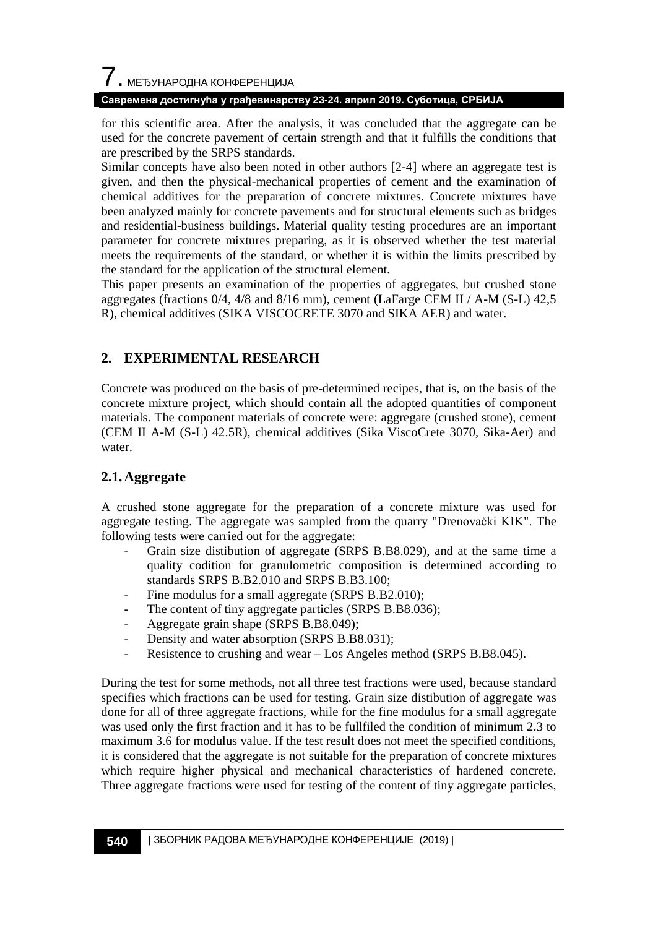#### **Савремена достигнућа у грађевинарству 23-24. април 2019. Суботица, СРБИЈА**

for this scientific area. After the analysis, it was concluded that the aggregate can be used for the concrete pavement of certain strength and that it fulfills the conditions that are prescribed by the SRPS standards.

Similar concepts have also been noted in other authors [2-4] where an aggregate test is given, and then the physical-mechanical properties of cement and the examination of chemical additives for the preparation of concrete mixtures. Concrete mixtures have been analyzed mainly for concrete pavements and for structural elements such as bridges and residential-business buildings. Material quality testing procedures are an important parameter for concrete mixtures preparing, as it is observed whether the test material meets the requirements of the standard, or whether it is within the limits prescribed by the standard for the application of the structural element.

This paper presents an examination of the properties of aggregates, but crushed stone aggregates (fractions 0/4, 4/8 and 8/16 mm), cement (LaFarge CEM II / A-M (S-L) 42,5 R), chemical additives (SIKA VISCOCRETE 3070 and SIKA AER) and water.

### **2. EXPERIMENTAL RESEARCH**

Concrete was produced on the basis of pre-determined recipes, that is, on the basis of the concrete mixture project, which should contain all the adopted quantities of component materials. The component materials of concrete were: aggregate (crushed stone), cement (CEM II A-M (S-L) 42.5R), chemical additives (Sika ViscoCrete 3070, Sika-Aer) and water.

### **2.1.Aggregate**

A crushed stone aggregate for the preparation of a concrete mixture was used for aggregate testing. The aggregate was sampled from the quarry "Drenovački KIK". The following tests were carried out for the aggregate:

- Grain size distibution of aggregate (SRPS B.B8.029), and at the same time a quality codition for granulometric composition is determined according to standards SRPS B.B2.010 and SRPS B.B3.100;
- Fine modulus for a small aggregate (SRPS B.B2.010);
- The content of tiny aggregate particles (SRPS B.B8.036);
- Aggregate grain shape (SRPS B.B8.049);
- Density and water absorption (SRPS B.B8.031);
- Resistence to crushing and wear Los Angeles method (SRPS B.B8.045).

During the test for some methods, not all three test fractions were used, because standard specifies which fractions can be used for testing. Grain size distibution of aggregate was done for all of three aggregate fractions, while for the fine modulus for a small aggregate was used only the first fraction and it has to be fullfiled the condition of minimum 2.3 to maximum 3.6 for modulus value. If the test result does not meet the specified conditions, it is considered that the aggregate is not suitable for the preparation of concrete mixtures which require higher physical and mechanical characteristics of hardened concrete. Three aggregate fractions were used for testing of the content of tiny aggregate particles,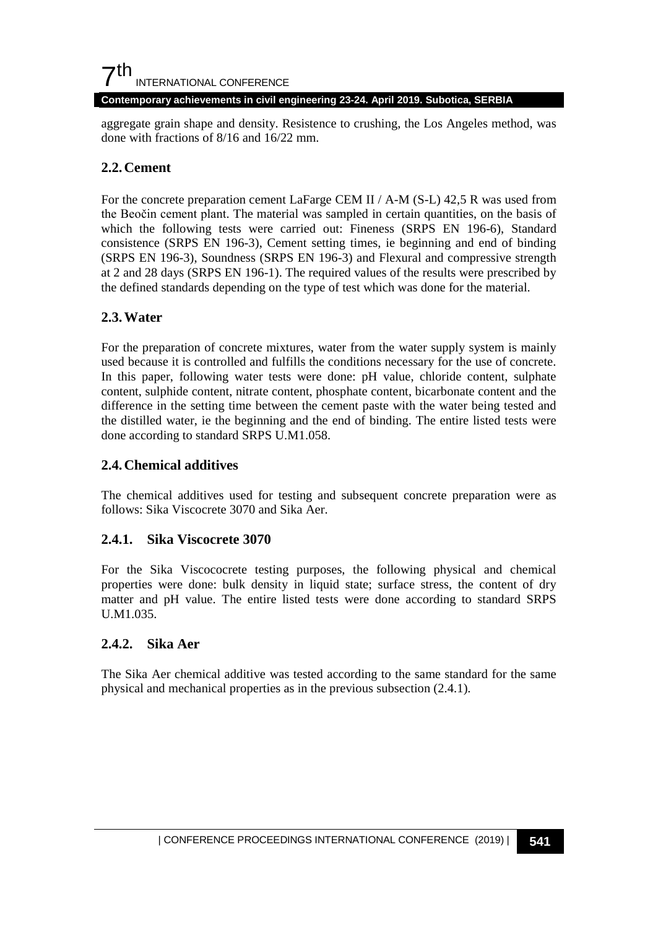**Contemporary achievements in civil engineering 23-24. April 2019. Subotica, SERBIA**

aggregate grain shape and density. Resistence to crushing, the Los Angeles method, was done with fractions of 8/16 and 16/22 mm.

### **2.2.Cement**

For the concrete preparation cement LaFarge CEM II / A-M (S-L) 42,5 R was used from the Beočin cement plant. The material was sampled in certain quantities, on the basis of which the following tests were carried out: Fineness (SRPS EN 196-6), Standard consistence (SRPS EN 196-3), Cement setting times, ie beginning and end of binding (SRPS EN 196-3), Soundness (SRPS EN 196-3) and Flexural and compressive strength at 2 and 28 days (SRPS EN 196-1). The required values of the results were prescribed by the defined standards depending on the type of test which was done for the material.

#### **2.3.Water**

For the preparation of concrete mixtures, water from the water supply system is mainly used because it is controlled and fulfills the conditions necessary for the use of concrete. In this paper, following water tests were done: pH value, chloride content, sulphate content, sulphide content, nitrate content, phosphate content, bicarbonate content and the difference in the setting time between the cement paste with the water being tested and the distilled water, ie the beginning and the end of binding. The entire listed tests were done according to standard SRPS U.M1.058.

### **2.4.Chemical additives**

The chemical additives used for testing and subsequent concrete preparation were as follows: Sika Viscocrete 3070 and Sika Aer.

#### **2.4.1. Sika Viscocrete 3070**

For the Sika Viscococrete testing purposes, the following physical and chemical properties were done: bulk density in liquid state; surface stress, the content of dry matter and pH value. The entire listed tests were done according to standard SRPS U.M1.035.

#### **2.4.2. Sika Aer**

The Sika Aer chemical additive was tested according to the same standard for the same physical and mechanical properties as in the previous subsection (2.4.1).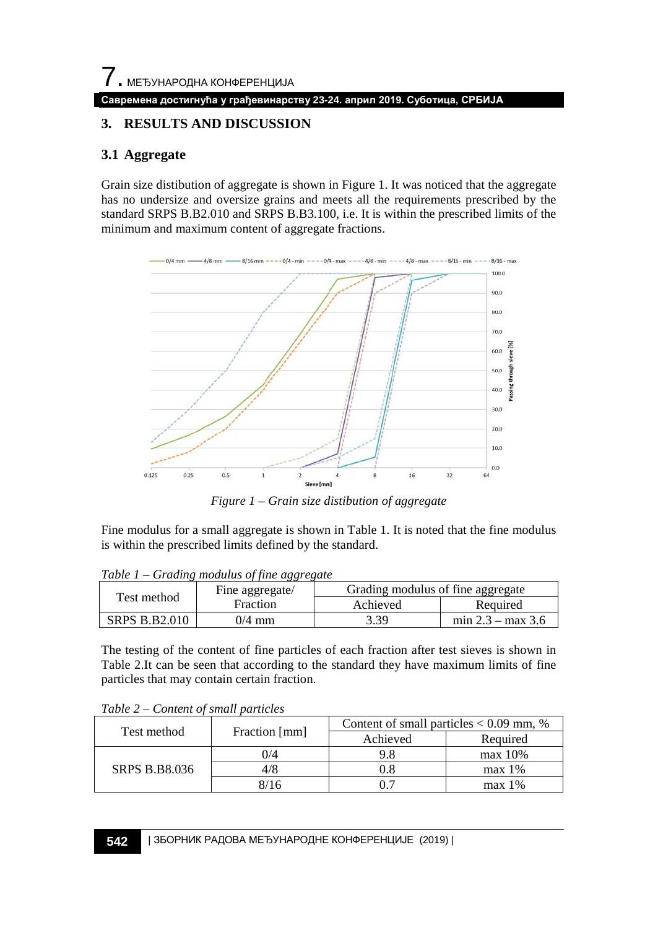## **3. RESULTS AND DISCUSSION**

## **3.1 Aggregate**

Grain size distibution of aggregate is shown in Figure 1. It was noticed that the aggregate has no undersize and oversize grains and meets all the requirements prescribed by the standard SRPS B.B2.010 and SRPS B.B3.100, i.e. It is within the prescribed limits of the minimum and maximum content of aggregate fractions.



*Figure 1 – Grain size distibution of aggregate*

Fine modulus for a small aggregate is shown in Table 1. It is noted that the fine modulus is within the prescribed limits defined by the standard.

| $1000 \pm 1$<br>Test method | Graanz modulus of fine aggregate<br>Fine aggregate/ | Grading modulus of fine aggregate |                     |  |
|-----------------------------|-----------------------------------------------------|-----------------------------------|---------------------|--|
|                             | Fraction                                            | Achieved                          | Required            |  |
| <b>SRPS B.B2.010</b>        | 0/4 mm                                              | 3.39                              | min $2.3 - max 3.6$ |  |

*Table 1 – Grading modulus of fine aggregate*

The testing of the content of fine particles of each fraction after test sieves is shown in Table 2.It can be seen that according to the standard they have maximum limits of fine particles that may contain certain fraction.

| Test method          | Fraction [mm] | Content of small particles $< 0.09$ mm, % |           |  |
|----------------------|---------------|-------------------------------------------|-----------|--|
|                      |               | Achieved                                  | Required  |  |
| <b>SRPS B.B8.036</b> | )/4           | 9.8                                       | $max$ 10% |  |
|                      | 4/8           | $0.8\,$                                   | $max 1\%$ |  |
|                      |               |                                           | $max 1\%$ |  |

*Table 2 – Content of small particles*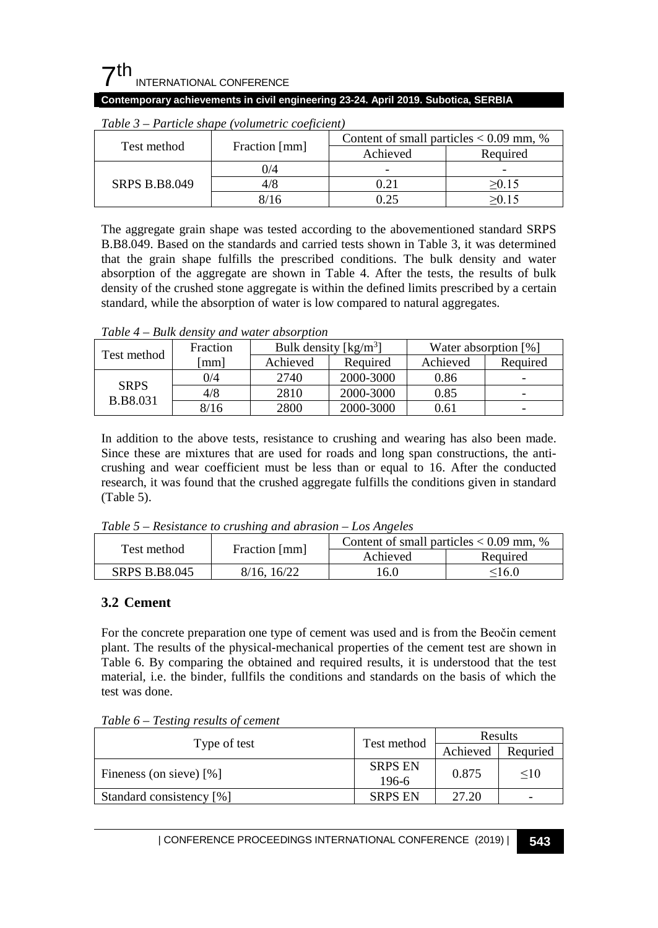#### **Contemporary achievements in civil engineering 23-24. April 2019. Subotica, SERBIA**

| Test method          | Fraction [mm] | Content of small particles $< 0.09$ mm, % |          |  |
|----------------------|---------------|-------------------------------------------|----------|--|
|                      |               | Achieved                                  | Required |  |
| <b>SRPS B.B8.049</b> | 0/4           | -                                         | -        |  |
|                      | 4/8           | 0.21                                      | >0.15    |  |
|                      | 8/16          | 1.25                                      | 50.15    |  |

*Table 3 – Particle shape (volumetric coeficient)*

The aggregate grain shape was tested according to the abovementioned standard SRPS B.B8.049. Based on the standards and carried tests shown in Table 3, it was determined that the grain shape fulfills the prescribed conditions. The bulk density and water absorption of the aggregate are shown in Table 4. After the tests, the results of bulk density of the crushed stone aggregate is within the defined limits prescribed by a certain standard, while the absorption of water is low compared to natural aggregates.

*Table 4 – Bulk density and water absorption*

| Test method                    | Fraction | Bulk density $\lceil \text{kg/m}^3 \rceil$ |           | Water absorption [%] |                          |
|--------------------------------|----------|--------------------------------------------|-----------|----------------------|--------------------------|
|                                | mm       | Achieved                                   | Required  | Achieved             | Required                 |
| <b>SRPS</b><br><b>B.B8.031</b> | 0/4      | 2740                                       | 2000-3000 | 0.86                 | $\overline{\phantom{0}}$ |
|                                | 4/8      | 2810                                       | 2000-3000 | 0.85                 | $\overline{\phantom{0}}$ |
|                                | 8/16     | 2800                                       | 2000-3000 | 0.61                 | $\overline{\phantom{a}}$ |

In addition to the above tests, resistance to crushing and wearing has also been made. Since these are mixtures that are used for roads and long span constructions, the anticrushing and wear coefficient must be less than or equal to 16. After the conducted research, it was found that the crushed aggregate fulfills the conditions given in standard (Table 5).

*Table 5 – Resistance to crushing and abrasion – Los Angeles*

| Test method          | Fraction [mm] | Content of small particles $< 0.09$ mm. % |               |  |
|----------------------|---------------|-------------------------------------------|---------------|--|
|                      |               | Achieved                                  | Required      |  |
| <b>SRPS B.B8.045</b> | 8/16, 16/22   | 16.0                                      | $<$ 16.0 $\,$ |  |

### **3.2 Cement**

For the concrete preparation one type of cement was used and is from the Beočin cement plant. The results of the physical-mechanical properties of the cement test are shown in Table 6. By comparing the obtained and required results, it is understood that the test material, i.e. the binder, fullfils the conditions and standards on the basis of which the test was done.

*Table 6 – Testing results of cement*

|                          |                           | Results  |          |
|--------------------------|---------------------------|----------|----------|
| Type of test             | Test method               | Achieved | Requried |
| Fineness (on sieve) [%]  | <b>SRPS EN</b><br>$196-6$ | 0.875    | $\leq10$ |
| Standard consistency [%] | <b>SRPS EN</b>            | 27.20    | -        |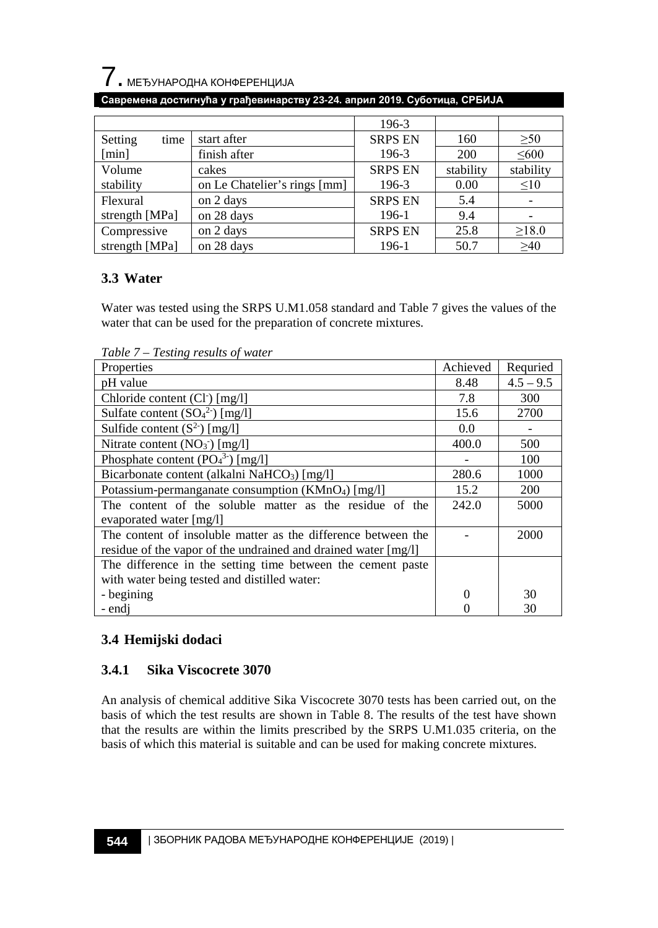

#### **Савремена достигнућа у грађевинарству 23-24. април 2019. Суботица, СРБИЈА**

|                 |                              | 196-3          |           |             |
|-----------------|------------------------------|----------------|-----------|-------------|
| Setting<br>time | start after                  | <b>SRPS EN</b> | 160       | $\geq 50$   |
| [min]           | finish after                 | 196-3          | 200       | $\leq 600$  |
| Volume          | cakes                        | <b>SRPS EN</b> | stability | stability   |
| stability       | on Le Chatelier's rings [mm] | 196-3          | 0.00      | $\leq 10$   |
| Flexural        | on 2 days                    | <b>SRPS EN</b> | 5.4       |             |
| strength [MPa]  | on 28 days                   | 196-1          | 9.4       |             |
| Compressive     | on 2 days                    | <b>SRPS EN</b> | 25.8      | $\geq 18.0$ |
| strength [MPa]  | on 28 days                   | 196-1          | 50.7      | $\geq 40$   |

### **3.3 Water**

Water was tested using the SRPS U.M1.058 standard and Table 7 gives the values of the water that can be used for the preparation of concrete mixtures.

*Table 7 – Testing results of water*

| Properties                                                     | Achieved | Requried    |
|----------------------------------------------------------------|----------|-------------|
| pH value                                                       | 8.48     | $4.5 - 9.5$ |
| Chloride content (Cl <sup>-</sup> ) [mg/l]                     | 7.8      | 300         |
| Sulfate content $(SO_4^2)$ [mg/l]                              | 15.6     | 2700        |
| Sulfide content $(S^2)$ [mg/l]                                 | 0.0      |             |
| Nitrate content $(NO3)$ [mg/l]                                 | 400.0    | 500         |
| Phosphate content $(PO43)$ [mg/l]                              |          | 100         |
| Bicarbonate content (alkalni NaHCO <sub>3</sub> ) [mg/l]       | 280.6    | 1000        |
| Potassium-permanganate consumption (KMnO <sub>4</sub> ) [mg/l] | 15.2     | 200         |
| The content of the soluble matter as the residue of the        | 242.0    | 5000        |
| evaporated water [mg/l]                                        |          |             |
| The content of insoluble matter as the difference between the  |          | 2000        |
| residue of the vapor of the undrained and drained water [mg/l] |          |             |
| The difference in the setting time between the cement paste    |          |             |
| with water being tested and distilled water:                   |          |             |
| - begining                                                     |          | 30          |
| - endi                                                         |          | 30          |

## **3.4 Hemijski dodaci**

### **3.4.1 Sika Viscocrete 3070**

An analysis of chemical additive Sika Viscocrete 3070 tests has been carried out, on the basis of which the test results are shown in Table 8. The results of the test have shown that the results are within the limits prescribed by the SRPS U.M1.035 criteria, on the basis of which this material is suitable and can be used for making concrete mixtures.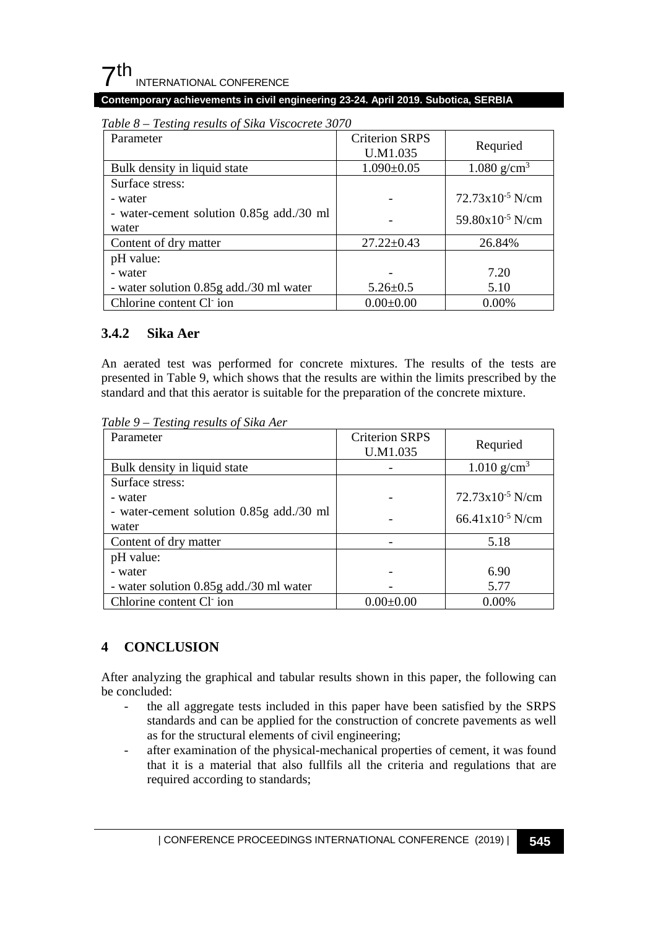#### **Contemporary achievements in civil engineering 23-24. April 2019. Subotica, SERBIA**

| Parameter                                | <b>Criterion SRPS</b><br>U.M1.035 | Requried                    |
|------------------------------------------|-----------------------------------|-----------------------------|
| Bulk density in liquid state             | $1.090 \pm 0.05$                  | 1.080 $g/cm^3$              |
| Surface stress:                          |                                   |                             |
| - water                                  |                                   | $72.73 \times 10^{-5}$ N/cm |
| - water-cement solution 0.85g add./30 ml |                                   | $59.80x10^{-5}$ N/cm        |
| water                                    |                                   |                             |
| Content of dry matter                    | $27.22 \pm 0.43$                  | 26.84%                      |
| pH value:                                |                                   |                             |
| - water                                  |                                   | 7.20                        |
| - water solution 0.85g add./30 ml water  | $5.26 \pm 0.5$                    | 5.10                        |
| Chlorine content Cl ion                  | $0.00 \pm 0.00$                   | $0.00\%$                    |

*Table 8 – Testing results of Sika Viscocrete 3070*

### **3.4.2 Sika Aer**

An aerated test was performed for concrete mixtures. The results of the tests are presented in Table 9, which shows that the results are within the limits prescribed by the standard and that this aerator is suitable for the preparation of the concrete mixture.

*Table 9 – Testing results of Sika Aer*

| Parameter                                         | <b>Criterion SRPS</b><br>U.M1.035 | Requried                    |
|---------------------------------------------------|-----------------------------------|-----------------------------|
| Bulk density in liquid state                      |                                   | $1.010$ g/cm <sup>3</sup>   |
| Surface stress:                                   |                                   |                             |
| - water                                           |                                   | 72.73x10 <sup>-5</sup> N/cm |
| - water-cement solution 0.85g add./30 ml<br>water |                                   | $66.41x10^{-5}$ N/cm        |
| Content of dry matter                             |                                   | 5.18                        |
| pH value:                                         |                                   |                             |
| - water                                           |                                   | 6.90                        |
| - water solution 0.85g add./30 ml water           |                                   | 5.77                        |
| Chlorine content Cl ion                           | $0.00 \pm 0.00$                   | $0.00\%$                    |

## **4 CONCLUSION**

After analyzing the graphical and tabular results shown in this paper, the following can be concluded:

- the all aggregate tests included in this paper have been satisfied by the SRPS standards and can be applied for the construction of concrete pavements as well as for the structural elements of civil engineering;
- after examination of the physical-mechanical properties of cement, it was found that it is a material that also fullfils all the criteria and regulations that are required according to standards;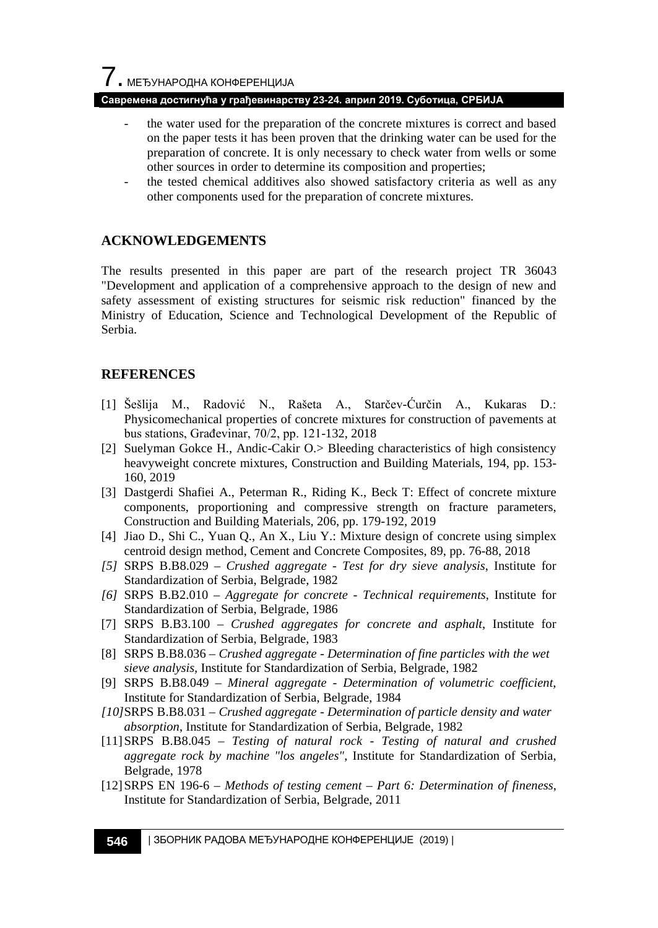#### **Савремена достигнућа у грађевинарству 23-24. април 2019. Суботица, СРБИЈА**

- the water used for the preparation of the concrete mixtures is correct and based on the paper tests it has been proven that the drinking water can be used for the preparation of concrete. It is only necessary to check water from wells or some other sources in order to determine its composition and properties;
- the tested chemical additives also showed satisfactory criteria as well as any other components used for the preparation of concrete mixtures.

#### **ACKNOWLEDGEMENTS**

The results presented in this paper are part of the research project TR 36043 "Development and application of a comprehensive approach to the design of new and safety assessment of existing structures for seismic risk reduction" financed by the Ministry of Education, Science and Technological Development of the Republic of Serbia.

#### **REFERENCES**

- [1] Šešlija M., Radović N., Rašeta A., Starčev-Ćurčin A., Kukaras D.: Physicomechanical properties of concrete mixtures for construction of pavements at bus stations, Građevinar, 70/2, pp. 121-132, 2018
- [2] Suelyman Gokce H., Andic-Cakir O.> Bleeding characteristics of high consistency heavyweight concrete mixtures, Construction and Building Materials, 194, pp. 153- 160, 2019
- [3] Dastgerdi Shafiei A., Peterman R., Riding K., Beck T: Effect of concrete mixture components, proportioning and compressive strength on fracture parameters, Construction and Building Materials, 206, pp. 179-192, 2019
- [4] Jiao D., Shi C., Yuan Q., An X., Liu Y.: Mixture design of concrete using simplex centroid design method, Cement and Concrete Composites, 89, pp. 76-88, 2018
- *[5]* SRPS B.B8.029 *Crushed aggregate - Test for dry sieve analysis*, Institute for Standardization of Serbia, Belgrade, 1982
- *[6]* SRPS B.B2.010 *Aggregate for concrete - Technical requirements*, Institute for Standardization of Serbia, Belgrade, 1986
- [7] SRPS B.B3.100 *Crushed aggregates for concrete and asphalt*, Institute for Standardization of Serbia, Belgrade, 1983
- [8] SRPS B.B8.036 *Crushed aggregate - Determination of fine particles with the wet sieve analysis,* Institute for Standardization of Serbia, Belgrade, 1982
- [9] SRPS B.B8.049 *Mineral aggregate - Determination of volumetric coefficient*, Institute for Standardization of Serbia, Belgrade, 1984
- *[10]*SRPS B.B8.031 *Crushed aggregate - Determination of particle density and water absorption*, Institute for Standardization of Serbia, Belgrade, 1982
- [11]SRPS B.B8.045 *Testing of natural rock - Testing of natural and crushed aggregate rock by machine "los angeles"*, Institute for Standardization of Serbia, Belgrade, 1978
- [12]SRPS EN 196-6 *Methods of testing cement – Part 6: Determination of fineness*, Institute for Standardization of Serbia, Belgrade, 2011